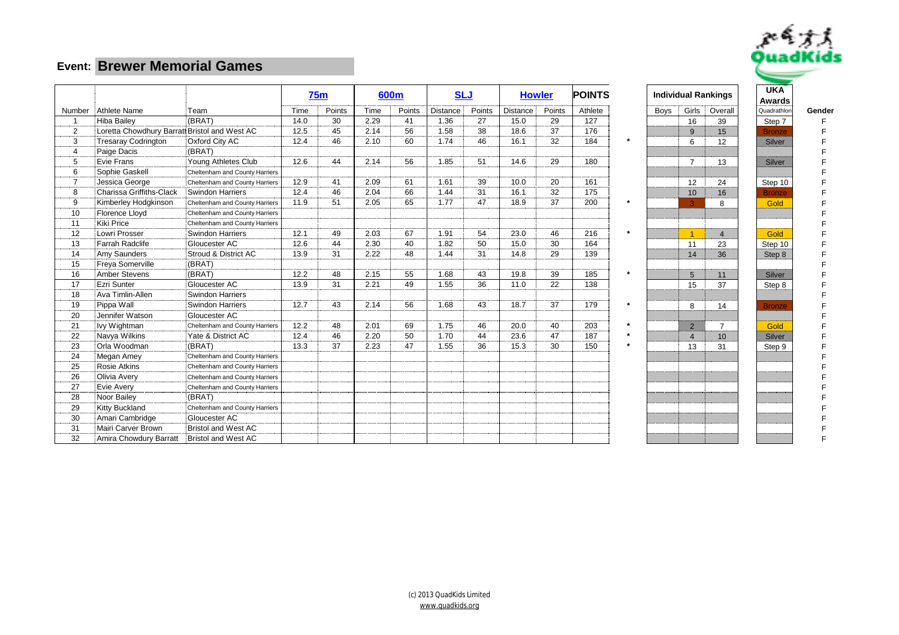

|                    |                                               |                                |      | <b>75m</b> |      | 600 <sub>m</sub> | <b>SLJ</b>      |        |                 | <b>Howler</b> | <b>POINTS</b> |      |                | <b>Individual Rankings</b> | <b>UKA</b><br><b>Awards</b> |        |
|--------------------|-----------------------------------------------|--------------------------------|------|------------|------|------------------|-----------------|--------|-----------------|---------------|---------------|------|----------------|----------------------------|-----------------------------|--------|
|                    | Number Athlete Name                           | Team                           | Time | Points     | Time | Points           | <b>Distance</b> | Points | <b>Distance</b> | Points        | Athlete       | Boys | Girls          | Overall                    | Quadrathlor                 | Gender |
| $\overline{1}$     | Hiba Bailey                                   | (BRAT)                         | 14.0 | 30         | 2.29 | 41               | 1.36            | 27     | 15.0            | 29            | 127           |      | 16             | 39                         | Step 7                      |        |
| 2                  | Loretta Chowdhury Barratt Bristol and West AC |                                | 12.5 | 45         | 2.14 | 56               | 1.58            | 38     | 18.6            | 37            | 176           |      | $\mathbf{q}$   | 15                         | <b>Bronze</b>               |        |
| 3                  | <b>Tresaray Codrington</b>                    | Oxford City AC                 | 12.4 | 46         | 2.10 | 60               | 1.74            | 46     | 16.1            | 32            | 184           |      | 6              | 12                         | Silver                      |        |
| 4                  | Paige Dacis                                   | (BRAT)                         |      |            |      |                  |                 |        |                 |               |               |      |                |                            |                             |        |
| 5                  | Evie Frans                                    | Young Athletes Club            | 12.6 | 44         | 2.14 | 56               | 1.85            | 51     | 14.6            | 29            | 180           |      | $\overline{7}$ | 13                         | Silver                      |        |
| 6                  | Sophie Gaskell                                | Cheltenham and County Harriers |      |            |      |                  |                 |        |                 |               |               |      |                |                            |                             |        |
| $\overline{7}$<br> | Jessica George                                | Cheltenham and County Harriers | 12.9 | 41         | 2.09 | 61               | 1.61            | 39     | 10.0            | 20            | 161           |      | 12             | 24                         | Step 10                     |        |
| 8<br>.             | Charissa Griffiths-Clack                      | <b>Swindon Harriers</b>        | 12.4 | 46         | 2.04 | 66               | 1.44            | 31     | 16.1            | 32            | 175           |      | 10             | 16                         | <b>Bronze</b>               |        |
| 9                  | Kimberley Hodgkinson                          | Cheltenham and County Harriers | 11.9 | 51         | 2.05 | 65               | 1.77            | 47     | 18.9            | 37            | 200           |      | 3              | 8                          | Gold                        |        |
| 10                 | <b>Florence Lloyd</b>                         | Cheltenham and County Harriers |      |            |      |                  |                 |        |                 |               |               |      |                |                            |                             |        |
| 11                 | Kiki Price                                    | Cheltenham and County Harriers |      |            |      |                  |                 |        |                 |               |               |      |                |                            |                             |        |
| 12                 | Lowri Prosser                                 | <b>Swindon Harriers</b>        | 12.1 | 49         | 2.03 | 67               | 1.91            | 54     | 23.0            | 46            | 216           |      |                | $\overline{4}$             | Gold                        |        |
| 13                 | Farrah Radclife                               | Gloucester AC                  | 12.6 | 44         | 2.30 | 40               | 1.82            | 50     | 15.0            | 30            | 164           |      | 11             | 23                         | Step 10                     |        |
| 14                 | Amy Saunders                                  | Stroud & District AC           | 13.9 | 31         | 2.22 | 48               | 1.44            | 31     | 14.8            | 29            | 139           |      | 14             | 36                         | Step 8                      |        |
| 15                 | Freva Somerville                              | (BRAT)                         |      |            |      |                  |                 |        |                 |               |               |      |                |                            |                             |        |
| 16                 | Amber Stevens                                 | (BRAT)                         | 12.2 | 48         | 2.15 | 55               | 1.68            | 43     | 19.8            | 39            | 185           |      | 5              | 11                         | Silver                      |        |
| 17                 | Ezri Sunter                                   | Gloucester AC                  | 13.9 | 31         | 2.21 | 49               | 1.55            | 36     | 11.0            | 22            | 138           |      | 15             | 37                         | Step 8                      |        |
| 18                 | Ava Timlin-Allen                              | Swindon Harriers               |      |            |      |                  |                 |        |                 |               |               |      |                |                            |                             |        |
| 19                 | Pippa Wall                                    | Swindon Harriers               | 12.7 | 43         | 2.14 | 56               | 1.68            | 43     | 18.7            | 37            | 179           |      | 8              | 14                         | <b>Bronze</b>               |        |
| 20                 | Jennifer Watson                               | Gloucester AC                  |      |            |      |                  |                 |        |                 |               |               |      |                |                            |                             |        |
| 21                 | Ivy Wightman                                  | Cheltenham and County Harriers | 12.2 | 48         | 2.01 | 69               | 1.75            | 46     | 20.0            | 40            | 203           |      | $\overline{2}$ | $\overline{7}$             | Gold                        |        |
| 22                 | Navya Wilkins                                 | Yate & District AC             | 12.4 | 46         | 2.20 | 50               | 1.70            | 44     | 23.6            | 47            | 187           |      | $\overline{4}$ | 10 <sup>°</sup>            | Silver                      |        |
| 23                 | Orla Woodman                                  | (BRAT)                         | 13.3 | 37         | 2.23 | 47               | 1.55            | 36     | 15.3            | 30            | 150           |      | 13             | 31                         | Step 9                      |        |
| 24                 | Megan Amey                                    | Cheltenham and County Harriers |      |            |      |                  |                 |        |                 |               |               |      |                |                            |                             |        |
| 25                 | <b>Rosie Atkins</b>                           | Cheltenham and County Harriers |      |            |      |                  |                 |        |                 |               |               |      |                |                            |                             |        |
| 26                 | Olivia Avery                                  | Cheltenham and County Harriers |      |            |      |                  |                 |        |                 |               |               |      |                |                            |                             |        |
| 27                 | Evie Avery                                    | Cheltenham and County Harriers |      |            |      |                  |                 |        |                 |               |               |      |                |                            |                             |        |
| 28                 | Noor Bailey                                   | (BRAT)                         |      |            |      |                  |                 |        |                 |               |               |      |                |                            |                             |        |
| 29                 | Kitty Buckland                                | Cheltenham and County Harriers |      |            |      |                  |                 |        |                 |               |               |      |                |                            |                             |        |
| 30                 | Amari Cambridge                               | Gloucester AC                  |      |            |      |                  |                 |        |                 |               |               |      |                |                            |                             |        |
| 31                 | Mairi Carver Brown                            | <b>Bristol and West AC</b>     |      |            |      |                  |                 |        |                 |               |               |      |                |                            |                             |        |
| 32                 | Amira Chowdury Barratt                        | Bristol and West AC            |      |            |      |                  |                 |        |                 |               |               |      |                |                            |                             |        |

|                                           | idual Rankings          | <b>UKA</b>    |     |
|-------------------------------------------|-------------------------|---------------|-----|
|                                           |                         | Awards        |     |
| Girls                                     | Overall                 | Quadrathlon   | Ger |
| 16                                        | 39                      | Step 7        |     |
| 9                                         | 15                      | <b>Bronze</b> |     |
| 6                                         | 12                      | <b>Silver</b> |     |
|                                           |                         |               |     |
| 7                                         | 13                      | Silver        |     |
|                                           |                         |               |     |
| 12                                        | 24                      | Step 10       |     |
| 10                                        | 16                      | <b>Bronze</b> |     |
| 3                                         | 8                       | Gold          |     |
|                                           |                         |               |     |
|                                           |                         |               |     |
| 1                                         | $\overline{\mathbf{4}}$ | Gold          |     |
| 11                                        | 23                      | Step 10       |     |
| 14                                        | 36                      | Step 8        |     |
|                                           |                         |               |     |
| 5                                         | 11                      | Silver        |     |
| 15                                        | 37                      | Step 8        |     |
|                                           |                         |               |     |
| 8                                         | 14                      | <b>Bronze</b> |     |
|                                           |                         |               |     |
|                                           | $\overline{7}$          | Gold          |     |
| $\overline{2}$<br>$\overline{\mathbf{4}}$ |                         |               |     |
|                                           | 10                      | Silver        |     |
| 13                                        | 31                      | Step 9        |     |
|                                           |                         |               |     |
|                                           |                         |               |     |
|                                           |                         |               |     |
|                                           |                         |               |     |
|                                           |                         |               |     |
|                                           |                         |               |     |
|                                           |                         |               |     |
|                                           |                         |               |     |
|                                           |                         |               |     |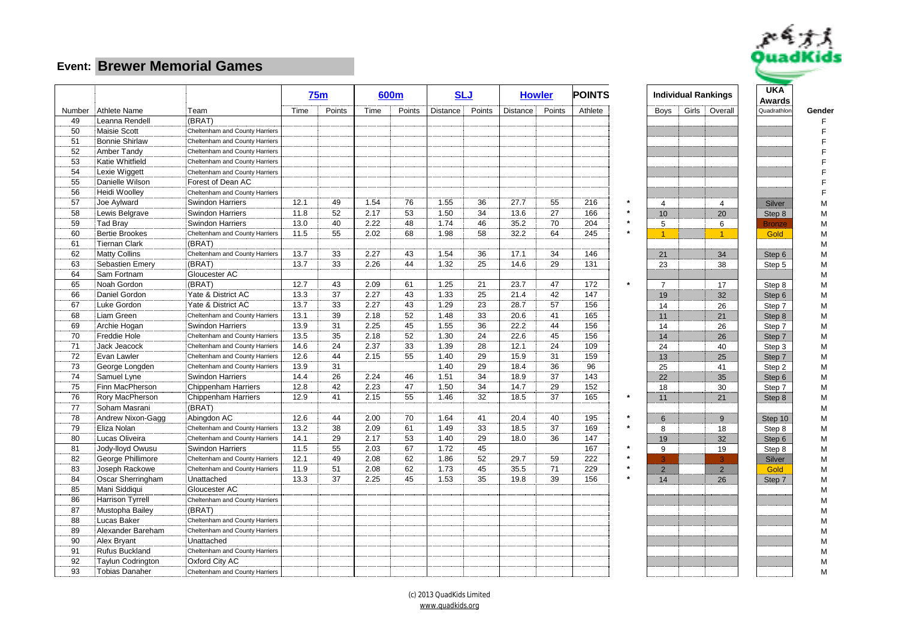

|        |                         |                                |      | 75m    |      | 600m   |          | <b>SLJ</b> |                 | <b>Howler</b> | <b>POINTS</b> |                |       | <b>Individual Rankings</b> | <b>UKA</b><br>Awards |        |
|--------|-------------------------|--------------------------------|------|--------|------|--------|----------|------------|-----------------|---------------|---------------|----------------|-------|----------------------------|----------------------|--------|
| Number | Athlete Name            | Team                           | Time | Points | Time | Points | Distance | Points     | <b>Distance</b> | Points        | Athlete       | <b>Boys</b>    | Girls | Overall                    | Quadrathlor          | Gender |
| 49     | Leanna Rendell          | (BRAT)                         |      |        |      |        |          |            |                 |               |               |                |       |                            |                      |        |
| 50     | Maisie Scott            | Cheltenham and County Harriers |      |        |      |        |          |            |                 |               |               |                |       |                            |                      | F      |
| 51     | <b>Bonnie Shirlaw</b>   | Cheltenham and County Harriers |      |        |      |        |          |            |                 |               |               |                |       |                            |                      |        |
| 52     | <b>Amber Tandy</b>      | Cheltenham and County Harriers |      |        |      |        |          |            |                 |               |               |                |       |                            |                      |        |
| 53     | Katie Whitfield         | Cheltenham and County Harriers |      |        |      |        |          |            |                 |               |               |                |       |                            |                      |        |
| 54     | Lexie Wiggett           | Cheltenham and County Harriers |      |        |      |        |          |            |                 |               |               |                |       |                            |                      |        |
| 55     | Danielle Wilson         | Forest of Dean AC              |      |        |      |        |          |            |                 |               |               |                |       |                            |                      |        |
| 56     | Heidi Woolley           | Cheltenham and County Harriers |      |        |      |        |          |            |                 |               |               |                |       |                            |                      | F      |
| 57     | Joe Aylward             | <b>Swindon Harriers</b>        | 12.1 | 49     | 1.54 | 76     | 1.55     | 36         | 27.7            | 55            | 216           | $\overline{4}$ |       | 4                          | Silver               | М      |
| 58     | Lewis Belgrave          | <b>Swindon Harriers</b>        | 11.8 | 52     | 2.17 | 53     | 1.50     | 34         | 13.6            | 27            | 166           | 10             |       | 20                         | Step 8               | М      |
| 59     | Tad Bray                | <b>Swindon Harriers</b>        | 13.0 | 40     | 2.22 | 48     | 1.74     | 46         | 35.2            | 70            | 204           | 5              |       | 6                          | <b>Bronze</b>        | М      |
| 60     | <b>Bertie Brookes</b>   | Cheltenham and County Harriers | 11.5 | 55     | 2.02 | 68     | 1.98     | 58         | 32.2            | 64            | 245           | $\overline{1}$ |       | $\mathbf{1}$               | Gold                 | М      |
| 61     | Tiernan Clark           | (BRAT)                         |      |        |      |        |          |            |                 |               |               |                |       |                            |                      | М      |
| 62     | <b>Matty Collins</b>    | Cheltenham and County Harriers | 13.7 | 33     | 2.27 | 43     | 1.54     | 36         | 17.1            | 34            | 146           | 21             |       | 34                         | Step 6               | М      |
| 63     | <b>Sebastien Emery</b>  | (BRAT)                         | 13.7 | 33     | 2.26 | 44     | 1.32     | 25         | 14.6            | 29            | 131           | 23             |       | 38                         | Step 5               | М      |
| 64     | Sam Fortnam             | Gloucester AC                  |      |        |      |        |          |            |                 |               |               |                |       |                            |                      | М      |
| 65     | Noah Gordon             | (BRAT)                         | 12.7 | 43     | 2.09 | 61     | 1.25     | 21         | 23.7            | 47            | 172           | $\overline{7}$ |       | 17                         | Step 8               | М      |
| 66     | Daniel Gordon           | Yate & District AC             | 13.3 | 37     | 2.27 | 43     | 1.33     | 25         | 21.4            | 42            | 147           | 19             |       | 32                         | Step 6               | М      |
| 67     | Luke Gordon             | Yate & District AC             | 13.7 | 33     | 2.27 | 43     | 1.29     | 23         | 28.7            | 57            | 156           | 14             |       | 26                         | Step 7               | М      |
| 68     | Liam Green              | Cheltenham and County Harriers | 13.1 | 39     | 2.18 | 52     | 1.48     | 33         | 20.6            | 41            | 165           | 11             |       | 21                         | Step 8               | М      |
| 69     | Archie Hogan            | <b>Swindon Harriers</b>        | 13.9 | 31     | 2.25 | 45     | 1.55     | 36         | 22.2            | 44            | 156           | 14             |       | 26                         | Step 7               | М      |
| 70     | Freddie Hole            | Cheltenham and County Harriers | 13.5 | 35     | 2.18 | 52     | 1.30     | 24         | 22.6            | 45            | 156           | 14             |       | 26                         | Step 7               | М      |
| 71     | Jack Jeacock            | Cheltenham and County Harriers | 14.6 | 24     | 2.37 | 33     | 1.39     | 28         | 12.1            | 24            | 109           | 24             |       | 40                         | Step 3               | М      |
| 72     | Evan Lawler             | Cheltenham and County Harriers | 12.6 | 44     | 2.15 | 55     | 1.40     | 29         | 15.9            | 31            | 159           | 13             |       | 25                         | Step 7               | М      |
| 73     | George Longden          | Cheltenham and County Harriers | 13.9 | 31     |      |        | 1.40     | 29         | 18.4            | 36            | 96            | 25             |       | 41                         | Step 2               | М      |
| 74     | Samuel Lyne             | <b>Swindon Harriers</b>        | 14.4 | 26     | 2.24 | 46     | 1.51     | 34         | 18.9            | 37            | 143           | 22             |       | 35                         | Step 6               | М      |
| 75     | Finn MacPherson         | <b>Chippenham Harriers</b>     | 12.8 | 42     | 2.23 | 47     | 1.50     | 34         | 14.7            | 29            | 152           | 18             |       | 30                         | Step 7               | М      |
| 76     | Rory MacPherson         | Chippenham Harriers            | 12.9 | 41     | 2.15 | 55     | 1.46     | 32         | 18.5            | 37            | 165           | 11             |       | 21                         | Step 8               | М      |
| 77     | Soham Masrani           | (BRAT)                         |      |        |      |        |          |            |                 |               |               |                |       |                            |                      | М      |
| 78     | Andrew Nixon-Gagg       | Abingdon AC                    | 12.6 | 44     | 2.00 | 70     | 1.64     | 41         | 20.4            | 40            | 195           | 6              |       | 9                          | Step 10              | М      |
| 79     | Eliza Nolan             | Cheltenham and County Harriers | 13.2 | 38     | 2.09 | 61     | 1.49     | 33         | 18.5            | 37            | 169           | 8              |       | 18                         | Step 8               | М      |
| 80     | Lucas Oliveira          | Cheltenham and County Harriers | 14.1 | 29     | 2.17 | 53     | 1.40     | 29         | 18.0            | 36            | 147           | 19             |       | 32                         | Step 6               | М      |
| 81     | Jody-lloyd Owusu        | <b>Swindon Harriers</b>        | 11.5 | 55     | 2.03 | 67     | 1.72     | 45         |                 |               | 167           | 9              |       | 19                         | Step 8               | М      |
| 82     | George Phillimore       | Cheltenham and County Harriers | 12.1 | 49     | 2.08 | 62     | 1.86     | 52         | 29.7            | 59            | 222           |                |       |                            | Silver               | М      |
| 83     | Joseph Rackowe          | Cheltenham and County Harriers | 11.9 | 51     | 2.08 | 62     | 1.73     | 45         | 35.5            | 71            | 229           | $\overline{2}$ |       | $\overline{2}$             | Gold                 | М      |
| 84     | Oscar Sherringham       | Unattached                     | 13.3 | 37     | 2.25 | 45     | 1.53     | 35         | 19.8            | 39            | 156           | 14             |       | 26                         | Step 7               | М      |
| 85     | Mani Siddiqui           | Gloucester AC                  |      |        |      |        |          |            |                 |               |               |                |       |                            |                      | М      |
| 86     | <b>Harrison Tyrrell</b> | Cheltenham and County Harriers |      |        |      |        |          |            |                 |               |               |                |       |                            |                      |        |
| 87     | Mustopha Bailey         | (BRAT)                         |      |        |      |        |          |            |                 |               |               |                |       |                            |                      | М<br>М |
| 88     | <b>Lucas Baker</b>      | Cheltenham and County Harriers |      |        |      |        |          |            |                 |               |               |                |       |                            |                      |        |
| 89     | Alexander Bareham       | Cheltenham and County Harriers |      |        |      |        |          |            |                 |               |               |                |       |                            |                      | М      |
| 90     |                         | Unattached                     |      |        |      |        |          |            |                 |               |               |                |       |                            |                      | М      |
| 91     | Alex Bryant             |                                |      |        |      |        |          |            |                 |               |               |                |       |                            |                      | М      |
|        | <b>Rufus Buckland</b>   | Cheltenham and County Harriers |      |        |      |        |          |            |                 |               |               |                |       |                            |                      | М      |
| 92     | Taylun Codrington       | Oxford City AC                 |      |        |      |        |          |            |                 |               |               |                |       |                            |                      | М      |
| 93     | <b>Tobias Danaher</b>   | Cheltenham and County Harriers |      |        |      |        |          |            |                 |               |               |                |       |                            |                      | М      |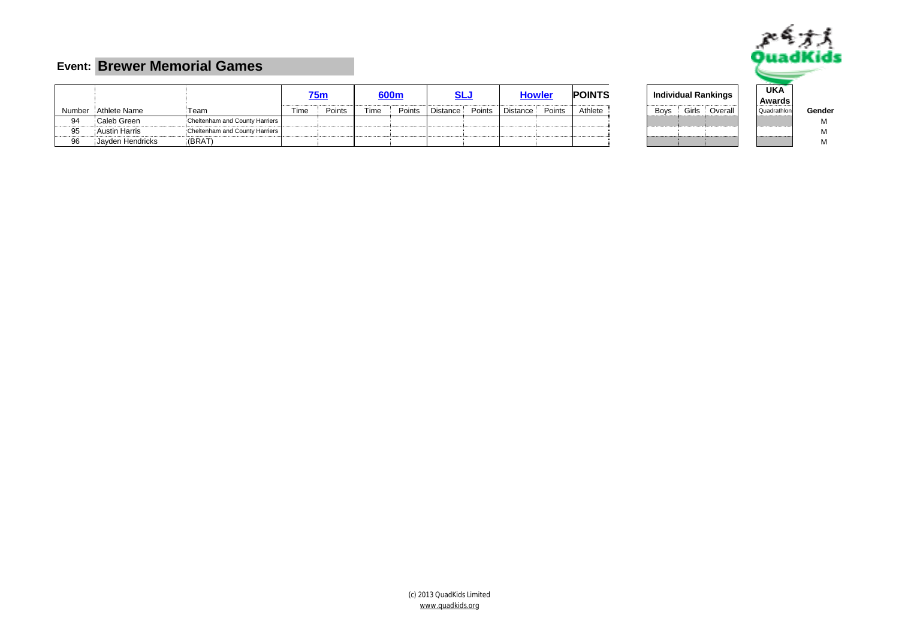

|    |                      |                                |      | '5m    |      | 600m   |                 |        |                 | <b>Howler</b> | <b>POINTS</b> |      |       | Individual Rankings | <b>UKA</b><br>Awards |        |
|----|----------------------|--------------------------------|------|--------|------|--------|-----------------|--------|-----------------|---------------|---------------|------|-------|---------------------|----------------------|--------|
|    | Number Athlete Name  | 'Team                          | Time | Points | Time | Points | <b>Distance</b> | Points | <b>Distance</b> | Points        | Athlete       | Boys | Girls | Overall             | Quadrathlon          | Gender |
| 94 | Caleb Green          | Cheltenham and County Harriers |      |        |      |        |                 |        |                 |               |               |      |       |                     |                      | м      |
| 95 | <b>Austin Harris</b> | Cheltenham and County Harriers |      |        |      |        |                 |        |                 |               |               |      |       |                     |                      | м      |
| 96 | Jayden Hendricks     | (BRAT)                         |      |        |      |        |                 |        |                 |               |               |      |       |                     |                      |        |

|     | dividual Rankings | <b>UKA</b><br>Awards |  |
|-----|-------------------|----------------------|--|
| oys | Girls Overall     | Quadrathlon          |  |
|     |                   |                      |  |
|     |                   |                      |  |
|     |                   |                      |  |

(c) 2013 QuadKids Limited [www.quadkids.org](http://www.quadkids.org)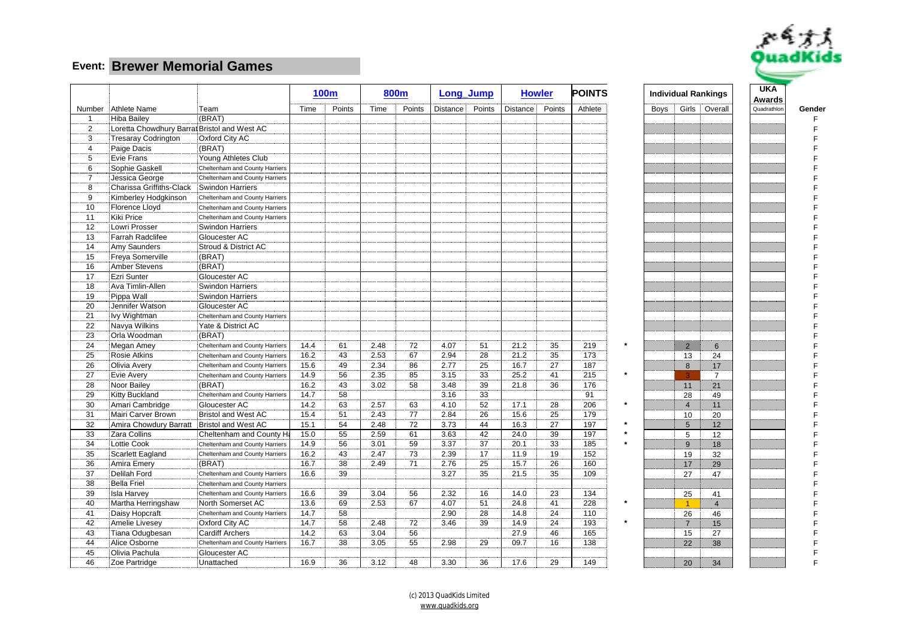

|                |                                              |                                |      | <b>100m</b> |      | 800m   |            | Long Jump |           | <b>Howler</b> | <b>POINTS</b> |      |                 | <b>Individual Rankings</b> | <b>UKA</b><br>Awards |        |
|----------------|----------------------------------------------|--------------------------------|------|-------------|------|--------|------------|-----------|-----------|---------------|---------------|------|-----------------|----------------------------|----------------------|--------|
|                | Number Athlete Name                          | Team                           | Time | Points      | Time | Points | Distance ! | Points    | Distance: | Points        | Athlete       | Boys |                 | Girls Overall              | Quadrathlor          | Gender |
| $\mathbf 1$    | <b>Hiba Bailev</b>                           | (BRAT)                         |      |             |      |        |            |           |           |               |               |      |                 |                            |                      | F      |
| $\overline{2}$ | Loretta Chowdhury Barrat Bristol and West AC |                                |      |             |      |        |            |           |           |               |               |      |                 |                            |                      | F      |
| 3              | <b>Tresaray Codrington</b>                   | Oxford City AC                 |      |             |      |        |            |           |           |               |               |      |                 |                            |                      |        |
| $\overline{4}$ | Paige Dacis                                  | (BRAT)                         |      |             |      |        |            |           |           |               |               |      |                 |                            |                      |        |
| 5              | Evie Frans                                   | Young Athletes Club            |      |             |      |        |            |           |           |               |               |      |                 |                            |                      |        |
| 6              | Sophie Gaskell                               | Cheltenham and County Harriers |      |             |      |        |            |           |           |               |               |      |                 |                            |                      |        |
| $\overline{7}$ | Jessica George                               | Cheltenham and County Harriers |      |             |      |        |            |           |           |               |               |      |                 |                            |                      |        |
| 8              | Charissa Griffiths-Clack                     | Swindon Harriers               |      |             |      |        |            |           |           |               |               |      |                 |                            |                      |        |
| 9              | Kimberley Hodgkinson                         | Cheltenham and County Harriers |      |             |      |        |            |           |           |               |               |      |                 |                            |                      |        |
| 10             | Florence Lloyd                               | Cheltenham and County Harriers |      |             |      |        |            |           |           |               |               |      |                 |                            |                      |        |
| 11             | Kiki Price                                   | Cheltenham and County Harriers |      |             |      |        |            |           |           |               |               |      |                 |                            |                      |        |
| 12             | Lowri Prosser                                | <b>Swindon Harriers</b>        |      |             |      |        |            |           |           |               |               |      |                 |                            |                      |        |
| 13             | Farrah Radclifee                             | Gloucester AC                  |      |             |      |        |            |           |           |               |               |      |                 |                            |                      |        |
| 14             | Amy Saunders                                 | Stroud & District AC           |      |             |      |        |            |           |           |               |               |      |                 |                            |                      |        |
| 15             | Freya Somerville                             | (BRAT)                         |      |             |      |        |            |           |           |               |               |      |                 |                            |                      |        |
| 16             | Amber Stevens                                | (BRAT)                         |      |             |      |        |            |           |           |               |               |      |                 |                            |                      |        |
| 17             | Ezri Sunter                                  | Gloucester AC                  |      |             |      |        |            |           |           |               |               |      |                 |                            |                      |        |
| 18             | Ava Timlin-Allen                             | <b>Swindon Harriers</b>        |      |             |      |        |            |           |           |               |               |      |                 |                            |                      |        |
| 19             | Pippa Wall                                   | <b>Swindon Harriers</b>        |      |             |      |        |            |           |           |               |               |      |                 |                            |                      |        |
| 20             | Jennifer Watson                              | Gloucester AC                  |      |             |      |        |            |           |           |               |               |      |                 |                            |                      |        |
| 21             | Ivy Wightman                                 | Cheltenham and County Harriers |      |             |      |        |            |           |           |               |               |      |                 |                            |                      |        |
| 22             | Navya Wilkins                                | Yate & District AC             |      |             |      |        |            |           |           |               |               |      |                 |                            |                      |        |
| 23             | Orla Woodman                                 | (BRAT)                         |      |             |      |        |            |           |           |               |               |      |                 |                            |                      |        |
| 24             | Megan Amey                                   | Cheltenham and County Harriers | 14.4 | 61          | 2.48 | 72     | 4.07       | 51        | 21.2      | 35            | 219           |      | $\overline{2}$  | 6                          |                      |        |
| 25             | Rosie Atkins                                 | Cheltenham and County Harriers | 16.2 | 43          | 2.53 | 67     | 2.94       | 28        | 21.2      | 35            | 173           |      | 13              | 24                         |                      |        |
| 26             | Olivia Avery                                 | Cheltenham and County Harriers | 15.6 | 49          | 2.34 | 86     | 2.77       | 25        | 16.7      | 27            | 187           |      | 8               | 17                         |                      |        |
| 27             | Evie Avery                                   | Cheltenham and County Harriers | 14.9 | 56          | 2.35 | 85     | 3.15       | 33        | 25.2      | 41            | 215           |      | 3               | $\overline{7}$             |                      |        |
| 28             | Noor Bailey                                  | (BRAT)                         | 16.2 | 43          | 3.02 | 58     | 3.48       | 39        | 21.8      | 36            | 176           |      | 11              | 21                         |                      |        |
| 29             | <b>Kitty Buckland</b>                        | Cheltenham and County Harriers | 14.7 | 58          |      |        | 3.16       | 33        |           |               | 91            |      | 28              | 49                         |                      |        |
| 30             | Amari Cambridge                              | Gloucester AC                  | 14.2 | 63          | 2.57 | 63     | 4.10       | 52        | 17.1      | 28            | 206           |      | $\overline{4}$  | 11                         |                      |        |
| 31             | Mairi Carver Brown                           | <b>Bristol and West AC</b>     | 15.4 | 51          | 2.43 | 77     | 2.84       | 26        | 15.6      | 25            | 179           |      | 10              | 20                         |                      |        |
| 32             | Amira Chowdury Barratt                       | Bristol and West AC            | 15.1 | 54          | 2.48 | 72     | 3.73       | 44        | 16.3      | 27            | 197           |      | $5\overline{)}$ | 12                         |                      |        |
| 33             | Zara Collins                                 | Cheltenham and County Ha       | 15.0 | 55          | 2.59 | 61     | 3.63       | 42        | 24.0      | 39            | 197           |      | 5               | 12                         |                      |        |
| 34             | Lottie Cook                                  | Cheltenham and County Harriers | 14.9 | 56          | 3.01 | 59     | 3.37       | 37        | 20.1      | 33            | 185           |      | 9               | 18                         |                      |        |
| 35             | <b>Scarlett Eagland</b>                      | Cheltenham and County Harriers | 16.2 | 43          | 2.47 | 73     | 2.39       | 17        | 11.9      | 19            | 152           |      | 19              | 32                         |                      |        |
| 36             | Amira Emery                                  | (BRAT)                         | 16.7 | 38          | 2.49 | 71     | 2.76       | 25        | 15.7      | 26            | 160           |      | 17              | 29                         |                      |        |
| 37             | Delilah Ford                                 | Cheltenham and County Harriers | 16.6 | 39          |      |        | 3.27       | 35        | 21.5      | 35            | 109           |      | 27              | 47                         |                      |        |
| 38             | <b>Bella Friel</b>                           | Cheltenham and County Harriers |      |             |      |        |            |           |           |               |               |      |                 |                            |                      |        |
| 39             | <b>Isla Harvey</b>                           | Cheltenham and County Harriers | 16.6 | 39          | 3.04 | 56     | 2.32       | 16        | 14.0      | 23            | 134           |      | 25              | 41                         |                      |        |
| 40             | Martha Herringshaw                           | North Somerset AC              | 13.6 | 69          | 2.53 | 67     | 4.07       | 51        | 24.8      | 41            | 228           |      |                 | $\overline{4}$             |                      |        |
| 41             | Daisy Hopcraft                               | Cheltenham and County Harriers | 14.7 | 58          |      |        | 2.90       | 28        | 14.8      | 24            | 110           |      | 26              | 46                         |                      |        |
| 42             | Amelie Livesey                               | Oxford City AC                 | 14.7 | 58          | 2.48 | 72     | 3.46       | 39        | 14.9      | 24            | 193           |      | $\overline{7}$  | 15                         |                      |        |
| 43             | Tiana Odugbesan                              | <b>Cardiff Archers</b>         | 14.2 | 63          | 3.04 | 56     |            |           | 27.9      | 46            | 165           |      | 15              | 27                         |                      |        |
| 44             | Alice Osborne                                | Cheltenham and County Harriers | 16.7 | 38          | 3.05 | 55     | 2.98       | 29        | 09.7      | 16            | 138           |      | 22              | 38                         |                      |        |
| 45             | Olivia Pachula                               | Gloucester AC                  |      |             |      |        |            |           |           |               |               |      |                 |                            |                      |        |
| 46             | Zoe Partridge                                | Unattached                     | 16.9 | 36          | 3.12 | 48     | 3.30       | 36        | 17.6      | 29            | 149           |      | 20              | 34                         |                      | F      |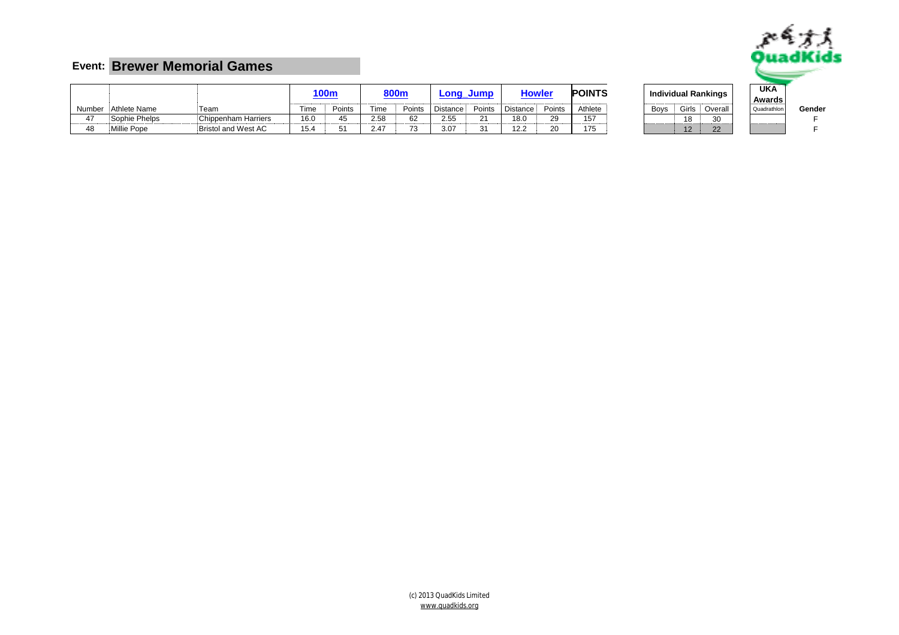

|    |                     |                     |      | <b>100m</b> |      | 800m   |                 | Long Jump | Howlei          |        | <b>POINTS</b> |      |            | Individual Rankings | <b>UKA</b><br>Awards                 |      |
|----|---------------------|---------------------|------|-------------|------|--------|-----------------|-----------|-----------------|--------|---------------|------|------------|---------------------|--------------------------------------|------|
|    | Number Athlete Name | Team                | Time | Points      | Time | Points | <b>Distance</b> | Points    | <b>Distance</b> | Points | Athlete       | Boys | Girls      | Overall             | Quadrathlon                          | Gend |
| 47 | Sophie Phelps       | Chippenham Harriers | 16.0 |             | 2.58 | 62     | 2.55            | $\sim$    | 18.0            | 29     | 157<br>.      |      | 18         |                     | <b>A 1000 00000 00000 0000000000</b> |      |
| 48 | Millie Pope         | Bristol and West AC | 15.4 |             | 2.47 |        | 3.07            | $\sim$    | 122<br>12.Z     | 20     | 175           |      | $\sqrt{2}$ | $\Omega$            |                                      |      |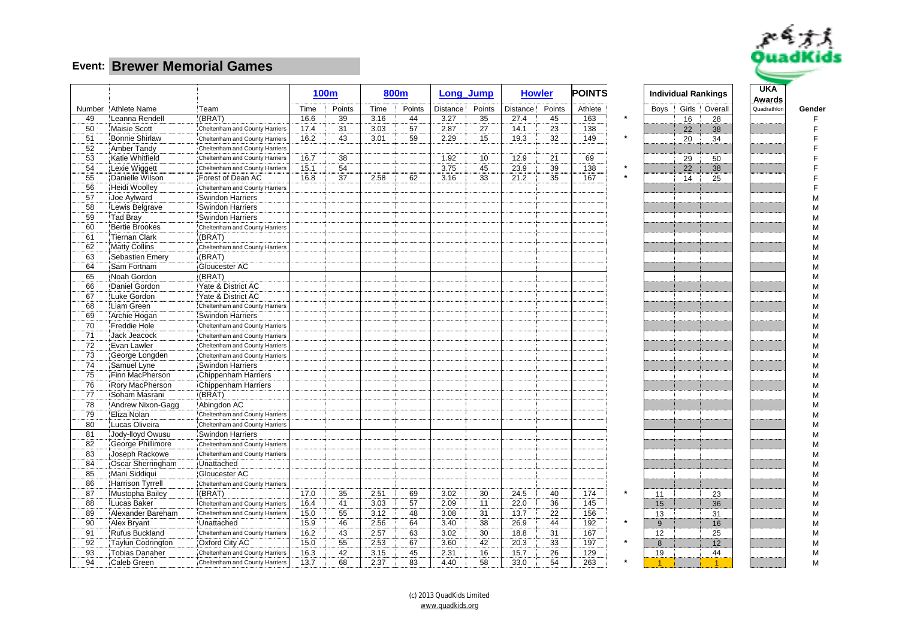

|    |                       |                                |      | <b>100m</b> |      | 800m   |          | Long_Jump |          | <b>Howler</b> | <b>POINTS</b> |             | <b>Individual Rankings</b> | <b>UKA</b><br>Awards |             |
|----|-----------------------|--------------------------------|------|-------------|------|--------|----------|-----------|----------|---------------|---------------|-------------|----------------------------|----------------------|-------------|
|    | Number Athlete Name   | Team                           | Time | Points      | Time | Points | Distance | Points    | Distance | Points        | Athlete       | <b>Boys</b> | Girls<br>Overall           | Quadrathlon          | Gender      |
| 49 | Leanna Rendell        | (BRAT)                         | 16.6 | 39          | 3.16 | 44     | 3.27     | 35        | 27.4     | 45            | 163           |             | 16<br>28                   |                      |             |
| 50 | Maisie Scott          | Cheltenham and County Harriers | 17.4 | 31          | 3.03 | 57     | 2.87     | 27        | 14.1     | 23            | 138           |             | 22<br>38                   |                      | $\mathsf F$ |
| 51 | <b>Bonnie Shirlaw</b> | Cheltenham and County Harriers | 16.2 | 43          | 3.01 | 59     | 2.29     | 15        | 19.3     | 32            | 149           |             | 20<br>34                   |                      |             |
| 52 | Amber Tandy           | Cheltenham and County Harriers |      |             |      |        |          |           |          |               |               |             |                            |                      |             |
| 53 | Katie Whitfield       | Cheltenham and County Harriers | 16.7 | 38          |      |        | 1.92     | 10        | 12.9     | 21            | 69            |             | 29<br>50                   |                      |             |
| 54 | Lexie Wiggett         | Cheltenham and County Harriers | 15.1 | 54          |      |        | 3.75     | 45        | 23.9     | 39            | 138           |             | 22<br>38                   |                      |             |
| 55 | Danielle Wilson       | Forest of Dean AC              | 16.8 | 37          | 2.58 | 62     | 3.16     | 33        | 21.2     | 35            | 167           |             | 25<br>14                   |                      |             |
| 56 | <b>Heidi Woolley</b>  | Cheltenham and County Harriers |      |             |      |        |          |           |          |               |               |             |                            |                      |             |
| 57 | Joe Aylward           | <b>Swindon Harriers</b>        |      |             |      |        |          |           |          |               |               |             |                            |                      | M           |
| 58 | Lewis Belgrave        | <b>Swindon Harriers</b>        |      |             |      |        |          |           |          |               |               |             |                            |                      | M           |
| 59 | <b>Tad Bray</b>       | <b>Swindon Harriers</b>        |      |             |      |        |          |           |          |               |               |             |                            |                      | M           |
| 60 | <b>Bertie Brookes</b> | Cheltenham and County Harriers |      |             |      |        |          |           |          |               |               |             |                            |                      | M           |
| 61 | Tiernan Clark         | (BRAT)                         |      |             |      |        |          |           |          |               |               |             |                            |                      |             |
| 62 | <b>Matty Collins</b>  | Cheltenham and County Harriers |      |             |      |        |          |           |          |               |               |             |                            |                      | М           |
| 63 | Sebastien Emery       | (BRAT)                         |      |             |      |        |          |           |          |               |               |             |                            |                      | M           |
| 64 | Sam Fortnam           | Gloucester AC                  |      |             |      |        |          |           |          |               |               |             |                            |                      | M           |
| 65 | Noah Gordon           | (BRAT)                         |      |             |      |        |          |           |          |               |               |             |                            |                      | M           |
| 66 | Daniel Gordon         | Yate & District AC             |      |             |      |        |          |           |          |               |               |             |                            |                      | М           |
| 67 | Luke Gordon           | Yate & District AC             |      |             |      |        |          |           |          |               |               |             |                            |                      | М           |
| 68 | Liam Green            | Cheltenham and County Harriers |      |             |      |        |          |           |          |               |               |             |                            |                      | M           |
| 69 | Archie Hogan          | <b>Swindon Harriers</b>        |      |             |      |        |          |           |          |               |               |             |                            |                      | M           |
| 70 | Freddie Hole          | Cheltenham and County Harriers |      |             |      |        |          |           |          |               |               |             |                            |                      | M           |
| 71 | Jack Jeacock          | Cheltenham and County Harriers |      |             |      |        |          |           |          |               |               |             |                            |                      | M           |
| 72 | Evan Lawler           | Cheltenham and County Harriers |      |             |      |        |          |           |          |               |               |             |                            |                      | М           |
| 73 | George Longden        | Cheltenham and County Harriers |      |             |      |        |          |           |          |               |               |             |                            |                      | M           |
| 74 | Samuel Lyne           | <b>Swindon Harriers</b>        |      |             |      |        |          |           |          |               |               |             |                            |                      | M           |
| 75 | Finn MacPherson       | Chippenham Harriers            |      |             |      |        |          |           |          |               |               |             |                            |                      | M           |
| 76 | Rory MacPherson       | Chippenham Harriers            |      |             |      |        |          |           |          |               |               |             |                            |                      | M           |
| 77 | Soham Masrani         | (BRAT)                         |      |             |      |        |          |           |          |               |               |             |                            |                      | M           |
| 78 | Andrew Nixon-Gagg     | Abingdon AC                    |      |             |      |        |          |           |          |               |               |             |                            |                      |             |
| 79 | Eliza Nolan           | Cheltenham and County Harriers |      |             |      |        |          |           |          |               |               |             |                            |                      | M           |
| 80 | Lucas Oliveira        | Cheltenham and County Harriers |      |             |      |        |          |           |          |               |               |             |                            |                      | M           |
| 81 | Jody-lloyd Owusu      | <b>Swindon Harriers</b>        |      |             |      |        |          |           |          |               |               |             |                            |                      | М           |
| 82 | George Phillimore     | Cheltenham and County Harriers |      |             |      |        |          |           |          |               |               |             |                            |                      | М           |
| 83 | Joseph Rackowe        | Cheltenham and County Harriers |      |             |      |        |          |           |          |               |               |             |                            |                      | M           |
| 84 | Oscar Sherringham     | Unattached                     |      |             |      |        |          |           |          |               |               |             |                            |                      | M           |
| 85 | Mani Siddiqui         | Gloucester AC                  |      |             |      |        |          |           |          |               |               |             |                            |                      | M           |
| 86 | Harrison Tyrrell      | Cheltenham and County Harriers |      |             |      |        |          |           |          |               |               |             |                            |                      | M           |
| 87 | Mustopha Bailey       | (BRAT)                         | 17.0 | 35          | 2.51 | 69     | 3.02     | 30        | 24.5     | 40            | 174           | 11          | 23                         |                      | M           |
| 88 | <b>Lucas Baker</b>    | Cheltenham and County Harriers | 16.4 | 41          | 3.03 | 57     | 2.09     | 11        | 22.0     | 36            | 145           | 15          | 36                         |                      | M           |
| 89 | Alexander Bareham     | Cheltenham and County Harriers | 15.0 | 55          | 3.12 | 48     | 3.08     | 31        | 13.7     | 22            | 156           | 13          | 31                         |                      | M           |
| 90 | Alex Bryant           | Unattached                     | 15.9 | 46          | 2.56 | 64     | 3.40     | 38        | 26.9     | 44            | 192           | 9           | 16                         |                      | M           |
| 91 | <b>Rufus Buckland</b> | Cheltenham and County Harriers | 16.2 | 43          | 2.57 | 63     | 3.02     | 30        | 18.8     | 31            | 167           | 12          | 25                         |                      | M           |
| 92 | Taylun Codrington     | Oxford City AC                 | 15.0 | 55          | 2.53 | 67     | 3.60     | 42        | 20.3     | 33            | 197           | 8           | 12                         |                      | М           |
| 93 | <b>Tobias Danaher</b> | Cheltenham and County Harriers | 16.3 | 42          | 3.15 | 45     | 2.31     | 16        | 15.7     | 26            | 129           | 19          | 44                         |                      | М           |
| 94 | Caleb Green           | Cheltenham and County Harriers | 13.7 | 68          | 2.37 | 83     | 4.40     | 58        | 33.0     | 54            | 263           |             | $\overline{A}$             |                      | M           |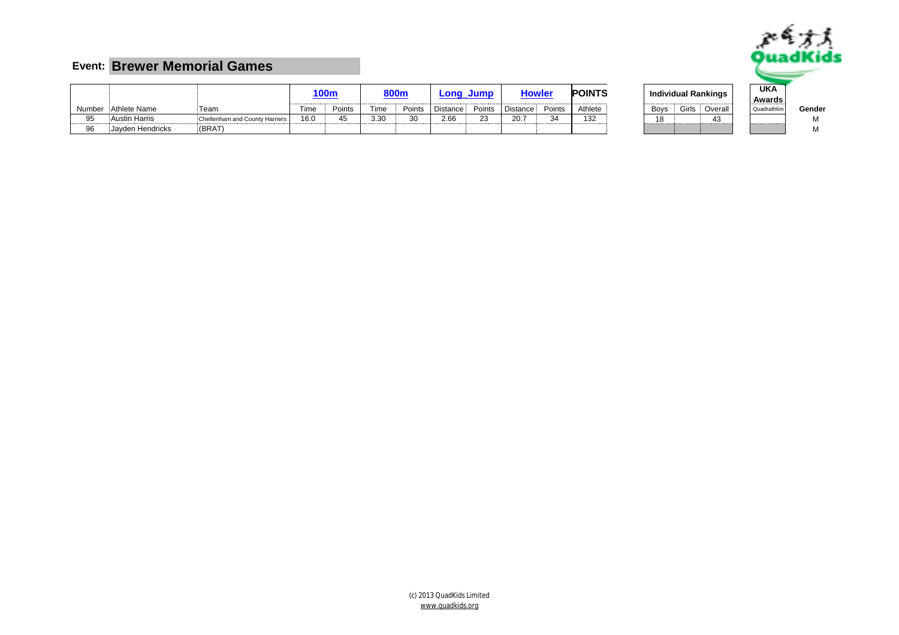

|        |                      |                                |             | <u>100m</u> |             | <b>800m</b> |                 | Long Jump | <b>Howle</b>          |                 | <b>POINTS</b> |             |       | <b>Individual Rankings</b> | UKA<br>Awards<br> |      |
|--------|----------------------|--------------------------------|-------------|-------------|-------------|-------------|-----------------|-----------|-----------------------|-----------------|---------------|-------------|-------|----------------------------|-------------------|------|
| Number | Athlete Name         | Team                           | <b>Time</b> | Points      | Гіmе        | Points      | <b>Distance</b> | Points    | <b>Distance</b>       | Points          | Athlete       | <b>Boys</b> | Girls | Overal                     | Quadrathlon       | Gend |
| 95     | <b>Austin Harris</b> | Cheltenham and County Harriers | 16.0        |             | ാറ<br>.ບ.ບບ |             | 2.66            |           | $\sim$ $\sim$<br>20.7 | $\Omega$<br>-د. | 132           | $\Delta$    |       | 4.,                        |                   |      |
| 96     | Javden Hendricks     | (BRAT)                         |             |             |             |             |                 |           |                       |                 |               |             |       |                            |                   |      |